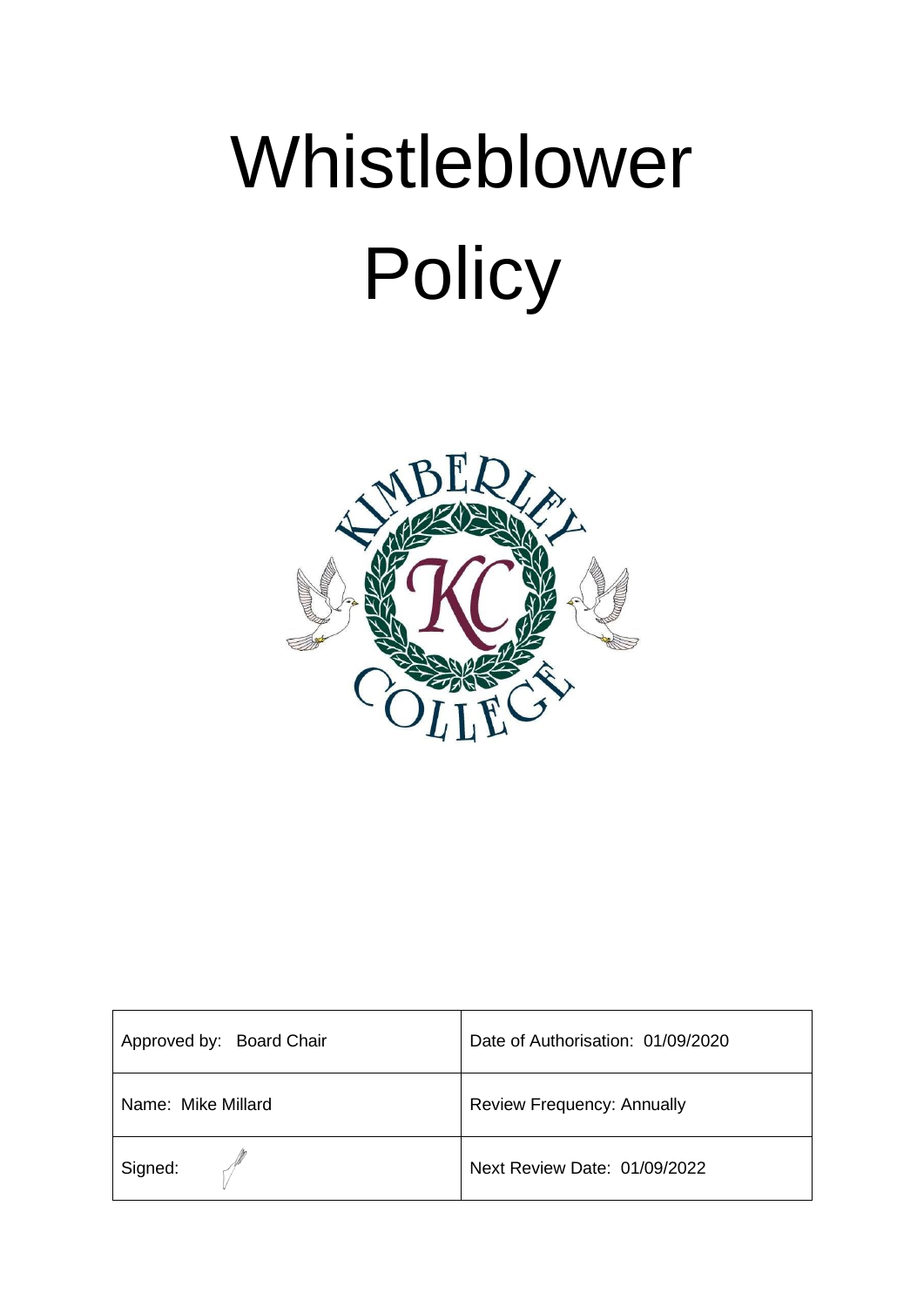

| Approved by: Board Chair | Date of Authorisation: 01/09/2020 |
|--------------------------|-----------------------------------|
| Name: Mike Millard       | <b>Review Frequency: Annually</b> |
| Signed:                  | Next Review Date: 01/09/2022      |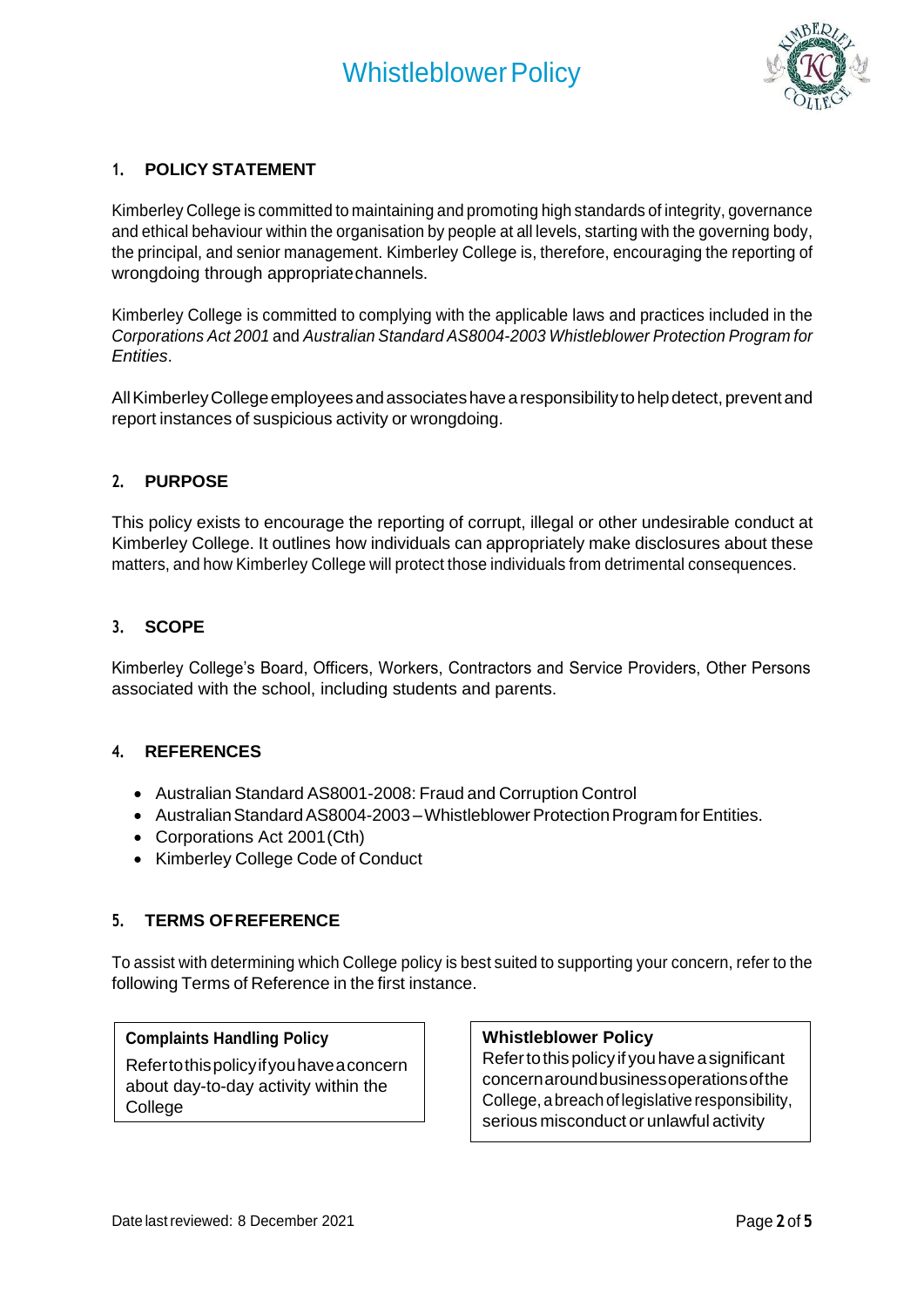

# **1. POLICY STATEMENT**

Kimberley College is committed to maintaining and promoting high standards of integrity, governance and ethical behaviour within the organisation by people at all levels, starting with the governing body, the principal, and senior management. Kimberley College is, therefore, encouraging the reporting of wrongdoing through appropriatechannels.

Kimberley College is committed to complying with the applicable laws and practices included in the *Corporations Act 2001* and *Australian Standard AS8004-2003 Whistleblower Protection Program for Entities*.

AllKimberleyCollegeemployeesandassociateshavearesponsibilitytohelpdetect, preventand report instances of suspicious activity or wrongdoing.

## **2. PURPOSE**

This policy exists to encourage the reporting of corrupt, illegal or other undesirable conduct at Kimberley College. It outlines how individuals can appropriately make disclosures about these matters, and how Kimberley College will protect those individuals from detrimental consequences.

#### **3. SCOPE**

Kimberley College's Board, Officers, Workers, Contractors and Service Providers, Other Persons associated with the school, including students and parents.

#### **4. REFERENCES**

- Australian Standard AS8001-2008: Fraud and Corruption Control
- Australian Standard AS8004-2003 Whistleblower Protection Program for Entities.
- Corporations Act 2001(Cth)
- Kimberley College Code of Conduct

#### **5. TERMS OFREFERENCE**

To assist with determining which College policy is best suited to supporting your concern, refer to the following Terms of Reference in the first instance.

#### **Complaints Handling Policy**

Refertothispolicyifyouhaveaconcern about day-to-day activity within the College

# **Whistleblower Policy**

Refertothispolicy if youhave asignificant concernaroundbusinessoperationsofthe College, a breach of legislative responsibility, serious misconduct or unlawful activity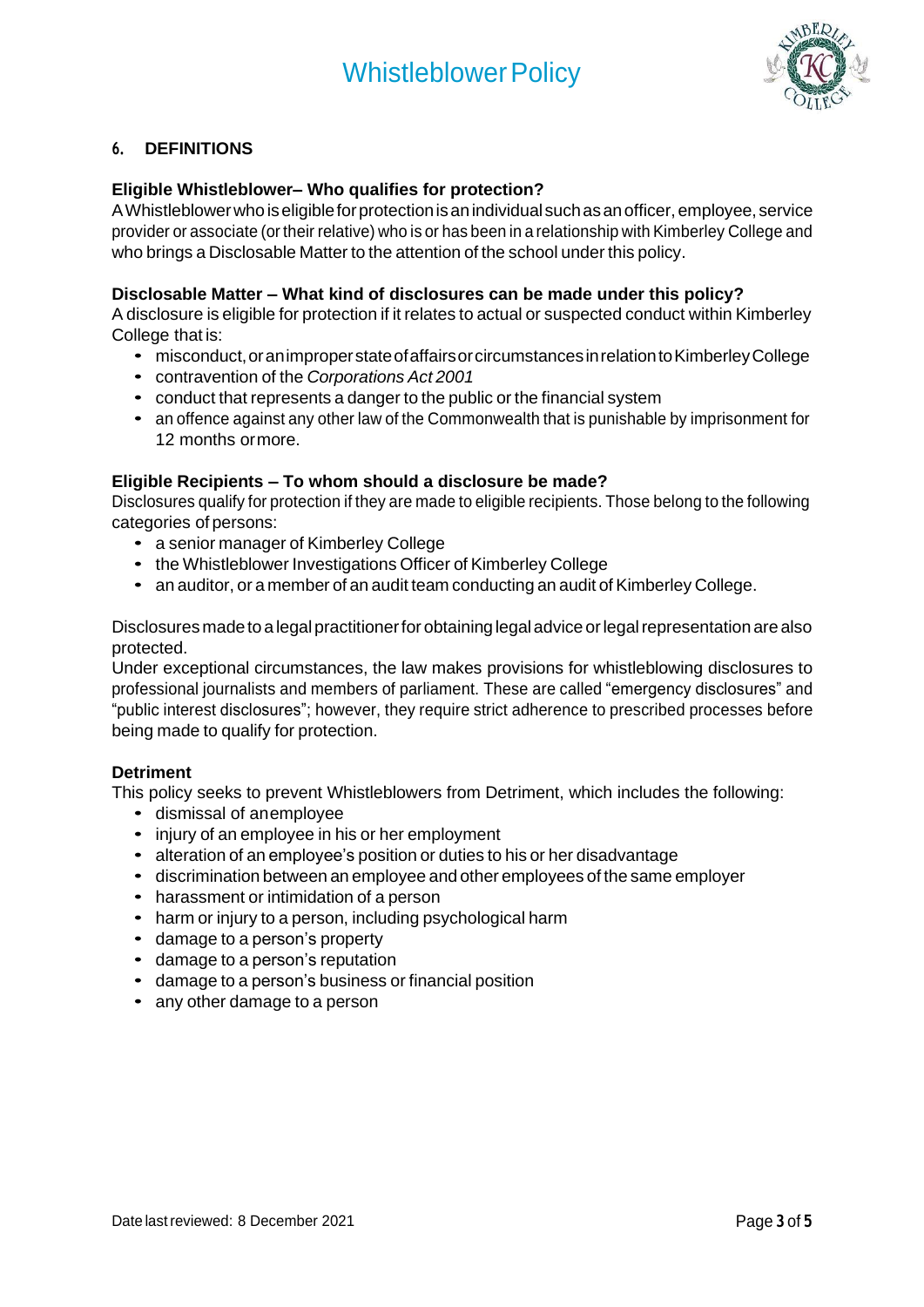

# **6. DEFINITIONS**

#### **Eligible Whistleblower– Who qualifies for protection?**

A Whistleblower who is eligible for protection is an individual such as an officer, employee, service provider or associate (or their relative) who is or has been in a relationship with Kimberley College and who brings a Disclosable Matter to the attention of the school under this policy.

## **Disclosable Matter – What kind of disclosures can be made under this policy?**

A disclosure is eligible for protection if it relates to actual or suspected conduct within Kimberley College that is:

- misconduct, or an improper state of affairs or circumstances in relation to Kimberley College
- contravention of the *Corporations Act 2001*
- conduct that represents a danger to the public or the financial system
- an offence against any other law of the Commonwealth that is punishable by imprisonment for 12 months ormore.

#### **Eligible Recipients – To whom should a disclosure be made?**

Disclosures qualify for protection if they are made to eligible recipients. Those belong to the following categories of persons:

- a senior manager of Kimberley College
- the Whistleblower Investigations Officer of Kimberley College
- an auditor, or a member of an audit team conducting an audit of Kimberley College.

Disclosures made to a legal practitioner for obtaining legal advice or legal representation are also protected.

Under exceptional circumstances, the law makes provisions for whistleblowing disclosures to professional journalists and members of parliament. These are called "emergency disclosures" and "public interest disclosures"; however, they require strict adherence to prescribed processes before being made to qualify for protection.

#### **Detriment**

This policy seeks to prevent Whistleblowers from Detriment, which includes the following:

- dismissal of anemployee
- injury of an employee in his or her employment
- alteration of an employee's position or duties to his or her disadvantage
- discrimination between an employee and other employees of the same employer
- harassment or intimidation of a person
- harm or injury to a person, including psychological harm
- damage to a person's property
- damage to a person's reputation
- damage to a person's business or financial position
- any other damage to a person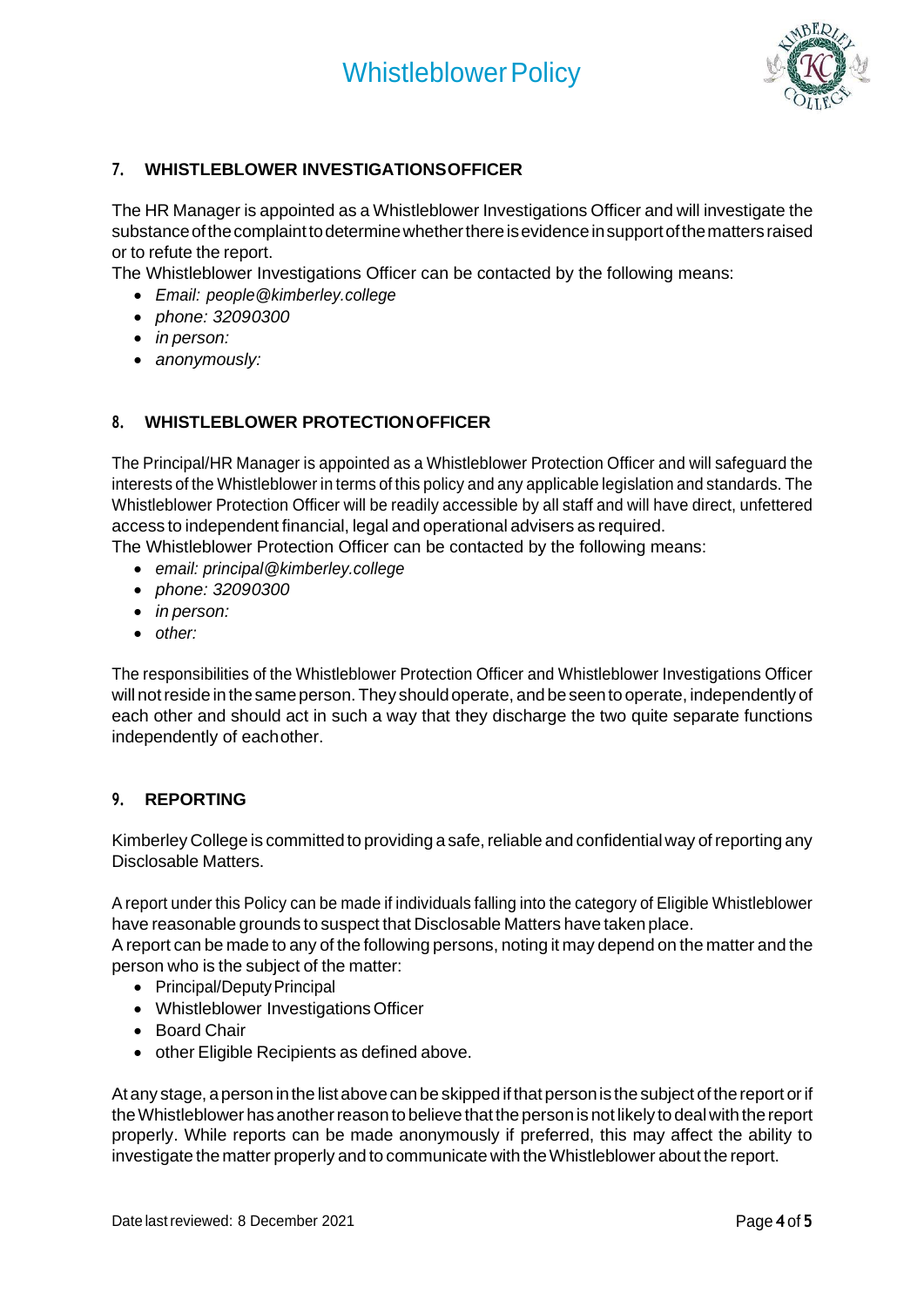

# **7. WHISTLEBLOWER INVESTIGATIONSOFFICER**

The HR Manager is appointed as a Whistleblower Investigations Officer and will investigate the substance of the complaint to determine whether there is evidence in support of the matters raised or to refute the report.

The Whistleblower Investigations Officer can be contacted by the following means:

- *Email: [people@kimberley.college](mailto:people@kimberley.college)*
- *phone: 32090300*
- *in person:*
- *anonymously:*

# **8. WHISTLEBLOWER PROTECTIONOFFICER**

The Principal/HR Manager is appointed as a Whistleblower Protection Officer and will safeguard the interests of the Whistleblower in terms of this policy and any applicable legislation and standards. The Whistleblower Protection Officer will be readily accessible by all staff and will have direct, unfettered access to independent financial, legal and operational advisers as required.

The Whistleblower Protection Officer can be contacted by the following means:

- *email: principal@kimberley.college*
- *phone: 32090300*
- *in person:*
- *other:*

The responsibilities of the Whistleblower Protection Officer and Whistleblower Investigations Officer will not reside in the same person. They should operate, and be seen to operate, independently of each other and should act in such a way that they discharge the two quite separate functions independently of eachother.

#### **9. REPORTING**

Kimberley College is committed to providing a safe, reliable and confidential way of reporting any Disclosable Matters.

A report under this Policy can be made if individuals falling into the category of Eligible Whistleblower have reasonable grounds to suspect that Disclosable Matters have taken place.

A report can be made to any of the following persons, noting it may depend on the matter and the person who is the subject of the matter:

- Principal/Deputy Principal
- Whistleblower Investigations Officer
- Board Chair
- other Eligible Recipients as defined above.

At any stage, a person in the list above can be skipped if that person is the subject of the report or if the Whistleblower has another reason to believe that the person is not likely to deal with the report properly. While reports can be made anonymously if preferred, this may affect the ability to investigate the matter properly and to communicate with the Whistleblower about the report.